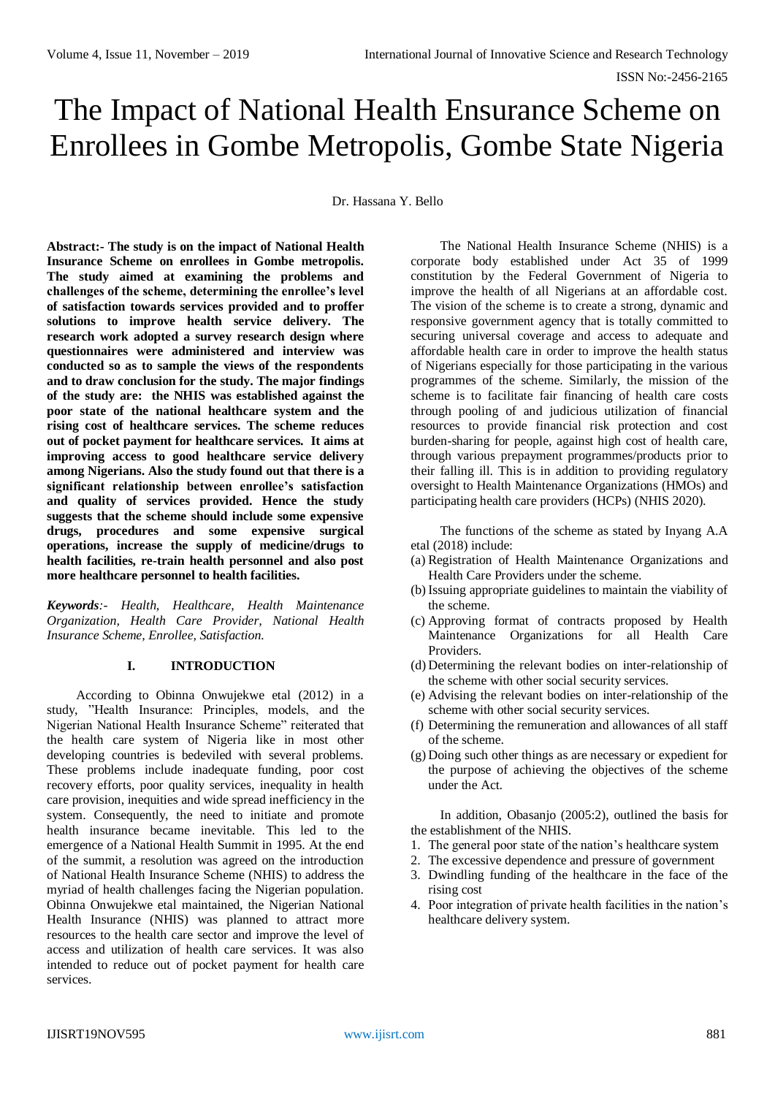# The Impact of National Health Ensurance Scheme on Enrollees in Gombe Metropolis, Gombe State Nigeria

Dr. Hassana Y. Bello

**Abstract:- The study is on the impact of National Health Insurance Scheme on enrollees in Gombe metropolis. The study aimed at examining the problems and challenges of the scheme, determining the enrollee's level of satisfaction towards services provided and to proffer solutions to improve health service delivery. The research work adopted a survey research design where questionnaires were administered and interview was conducted so as to sample the views of the respondents and to draw conclusion for the study. The major findings of the study are: the NHIS was established against the poor state of the national healthcare system and the rising cost of healthcare services. The scheme reduces out of pocket payment for healthcare services. It aims at improving access to good healthcare service delivery among Nigerians. Also the study found out that there is a significant relationship between enrollee's satisfaction and quality of services provided. Hence the study suggests that the scheme should include some expensive drugs, procedures and some expensive surgical operations, increase the supply of medicine/drugs to health facilities, re-train health personnel and also post more healthcare personnel to health facilities.**

*Keywords:- Health, Healthcare, Health Maintenance Organization, Health Care Provider, National Health Insurance Scheme, Enrollee, Satisfaction.*

# **I. INTRODUCTION**

According to Obinna Onwujekwe etal (2012) in a study, "Health Insurance: Principles, models, and the Nigerian National Health Insurance Scheme" reiterated that the health care system of Nigeria like in most other developing countries is bedeviled with several problems. These problems include inadequate funding, poor cost recovery efforts, poor quality services, inequality in health care provision, inequities and wide spread inefficiency in the system. Consequently, the need to initiate and promote health insurance became inevitable. This led to the emergence of a National Health Summit in 1995. At the end of the summit, a resolution was agreed on the introduction of National Health Insurance Scheme (NHIS) to address the myriad of health challenges facing the Nigerian population. Obinna Onwujekwe etal maintained, the Nigerian National Health Insurance (NHIS) was planned to attract more resources to the health care sector and improve the level of access and utilization of health care services. It was also intended to reduce out of pocket payment for health care services.

The National Health Insurance Scheme (NHIS) is a corporate body established under Act 35 of 1999 constitution by the Federal Government of Nigeria to improve the health of all Nigerians at an affordable cost. The vision of the scheme is to create a strong, dynamic and responsive government agency that is totally committed to securing universal coverage and access to adequate and affordable health care in order to improve the health status of Nigerians especially for those participating in the various programmes of the scheme. Similarly, the mission of the scheme is to facilitate fair financing of health care costs through pooling of and judicious utilization of financial resources to provide financial risk protection and cost burden-sharing for people, against high cost of health care, through various prepayment programmes/products prior to their falling ill. This is in addition to providing regulatory oversight to Health Maintenance Organizations (HMOs) and participating health care providers (HCPs) (NHIS 2020).

The functions of the scheme as stated by Inyang A.A etal (2018) include:

- (a) Registration of Health Maintenance Organizations and Health Care Providers under the scheme.
- (b) Issuing appropriate guidelines to maintain the viability of the scheme.
- (c) Approving format of contracts proposed by Health Maintenance Organizations for all Health Care Providers.
- (d) Determining the relevant bodies on inter-relationship of the scheme with other social security services.
- (e) Advising the relevant bodies on inter-relationship of the scheme with other social security services.
- (f) Determining the remuneration and allowances of all staff of the scheme.
- (g) Doing such other things as are necessary or expedient for the purpose of achieving the objectives of the scheme under the Act.

In addition, Obasanjo (2005:2), outlined the basis for the establishment of the NHIS.

- 1. The general poor state of the nation's healthcare system
- 2. The excessive dependence and pressure of government
- 3. Dwindling funding of the healthcare in the face of the rising cost
- 4. Poor integration of private health facilities in the nation's healthcare delivery system.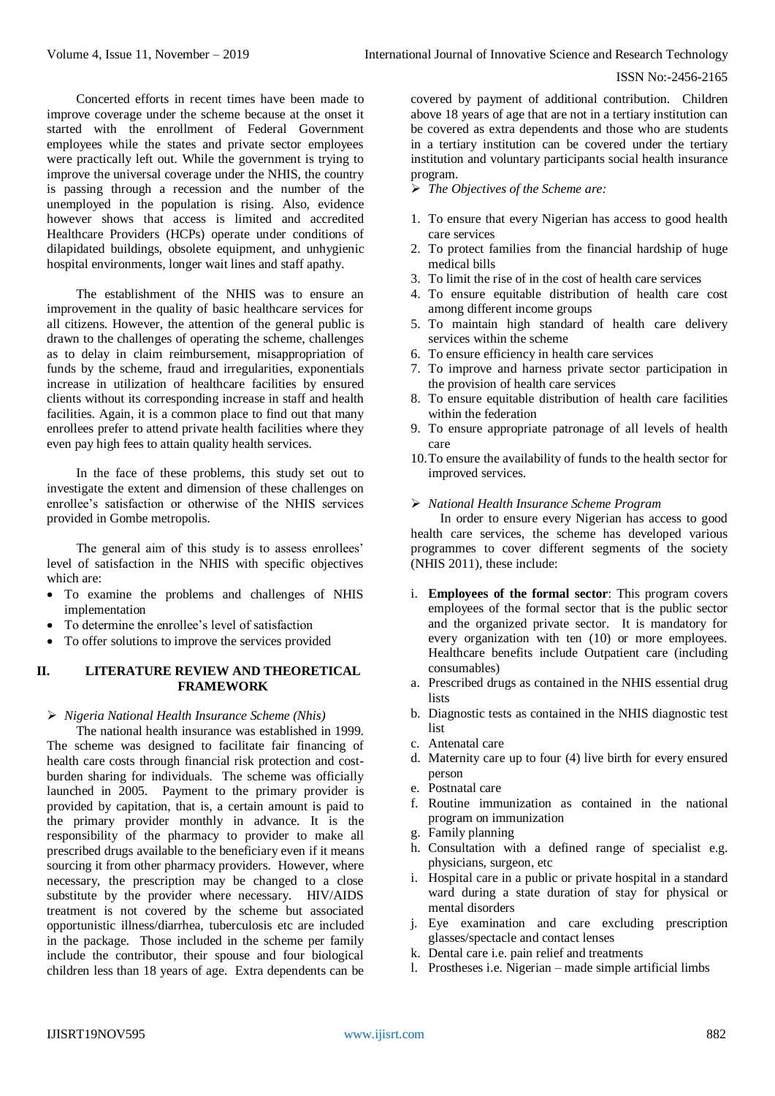Concerted efforts in recent times have been made to improve coverage under the scheme because at the onset it started with the enrollment of Federal Government employees while the states and private sector employees were practically left out. While the government is trying to improve the universal coverage under the NHIS, the country is passing through a recession and the number of the unemployed in the population is rising. Also, evidence however shows that access is limited and accredited Healthcare Providers (HCPs) operate under conditions of dilapidated buildings, obsolete equipment, and unhygienic hospital environments, longer wait lines and staff apathy.

The establishment of the NHIS was to ensure an improvement in the quality of basic healthcare services for all citizens. However, the attention of the general public is drawn to the challenges of operating the scheme, challenges as to delay in claim reimbursement, misappropriation of funds by the scheme, fraud and irregularities, exponentials increase in utilization of healthcare facilities by ensured clients without its corresponding increase in staff and health facilities. Again, it is a common place to find out that many enrollees prefer to attend private health facilities where they even pay high fees to attain quality health services.

In the face of these problems, this study set out to investigate the extent and dimension of these challenges on enrollee's satisfaction or otherwise of the NHIS services provided in Gombe metropolis.

The general aim of this study is to assess enrollees' level of satisfaction in the NHIS with specific objectives which are:

- To examine the problems and challenges of NHIS implementation
- To determine the enrollee's level of satisfaction
- To offer solutions to improve the services provided

# **II. LITERATURE REVIEW AND THEORETICAL FRAMEWORK**

#### *Nigeria National Health Insurance Scheme (Nhis)*

The national health insurance was established in 1999. The scheme was designed to facilitate fair financing of health care costs through financial risk protection and costburden sharing for individuals. The scheme was officially launched in 2005. Payment to the primary provider is provided by capitation, that is, a certain amount is paid to the primary provider monthly in advance. It is the responsibility of the pharmacy to provider to make all prescribed drugs available to the beneficiary even if it means sourcing it from other pharmacy providers. However, where necessary, the prescription may be changed to a close substitute by the provider where necessary. HIV/AIDS treatment is not covered by the scheme but associated opportunistic illness/diarrhea, tuberculosis etc are included in the package. Those included in the scheme per family include the contributor, their spouse and four biological children less than 18 years of age. Extra dependents can be

covered by payment of additional contribution. Children above 18 years of age that are not in a tertiary institution can be covered as extra dependents and those who are students in a tertiary institution can be covered under the tertiary institution and voluntary participants social health insurance program.

- *The Objectives of the Scheme are:*
- 1. To ensure that every Nigerian has access to good health care services
- 2. To protect families from the financial hardship of huge medical bills
- 3. To limit the rise of in the cost of health care services
- 4. To ensure equitable distribution of health care cost among different income groups
- 5. To maintain high standard of health care delivery services within the scheme
- 6. To ensure efficiency in health care services
- 7. To improve and harness private sector participation in the provision of health care services
- 8. To ensure equitable distribution of health care facilities within the federation
- 9. To ensure appropriate patronage of all levels of health care
- 10.To ensure the availability of funds to the health sector for improved services.

# *National Health Insurance Scheme Program*

In order to ensure every Nigerian has access to good health care services, the scheme has developed various programmes to cover different segments of the society (NHIS 2011), these include:

- i. **Employees of the formal sector**: This program covers employees of the formal sector that is the public sector and the organized private sector. It is mandatory for every organization with ten (10) or more employees. Healthcare benefits include Outpatient care (including consumables)
- a. Prescribed drugs as contained in the NHIS essential drug lists
- b. Diagnostic tests as contained in the NHIS diagnostic test list
- c. Antenatal care
- d. Maternity care up to four (4) live birth for every ensured person
- e. Postnatal care
- f. Routine immunization as contained in the national program on immunization
- g. Family planning
- h. Consultation with a defined range of specialist e.g. physicians, surgeon, etc
- i. Hospital care in a public or private hospital in a standard ward during a state duration of stay for physical or mental disorders
- j. Eye examination and care excluding prescription glasses/spectacle and contact lenses
- k. Dental care i.e. pain relief and treatments
- l. Prostheses i.e. Nigerian made simple artificial limbs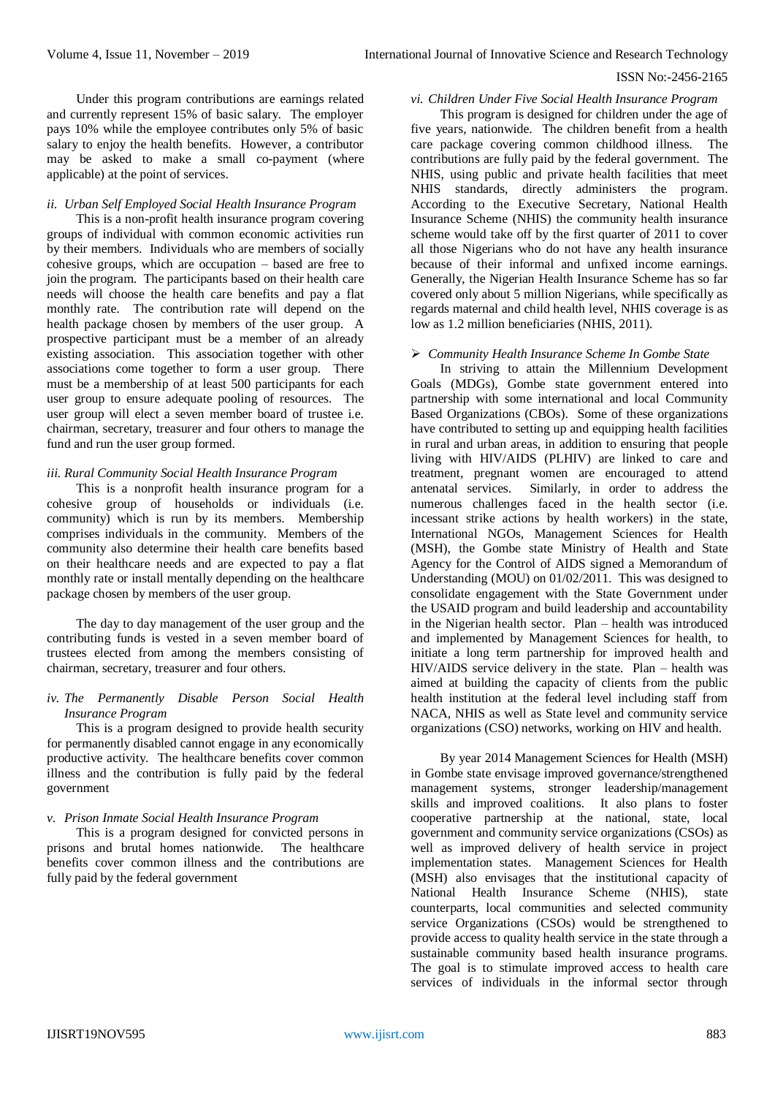Under this program contributions are earnings related and currently represent 15% of basic salary. The employer pays 10% while the employee contributes only 5% of basic salary to enjoy the health benefits. However, a contributor may be asked to make a small co-payment (where applicable) at the point of services.

#### *ii. Urban Self Employed Social Health Insurance Program*

This is a non-profit health insurance program covering groups of individual with common economic activities run by their members. Individuals who are members of socially cohesive groups, which are occupation – based are free to join the program. The participants based on their health care needs will choose the health care benefits and pay a flat monthly rate. The contribution rate will depend on the health package chosen by members of the user group. A prospective participant must be a member of an already existing association. This association together with other associations come together to form a user group. There must be a membership of at least 500 participants for each user group to ensure adequate pooling of resources. The user group will elect a seven member board of trustee i.e. chairman, secretary, treasurer and four others to manage the fund and run the user group formed.

# *iii. Rural Community Social Health Insurance Program*

This is a nonprofit health insurance program for a cohesive group of households or individuals (i.e. community) which is run by its members. Membership comprises individuals in the community. Members of the community also determine their health care benefits based on their healthcare needs and are expected to pay a flat monthly rate or install mentally depending on the healthcare package chosen by members of the user group.

The day to day management of the user group and the contributing funds is vested in a seven member board of trustees elected from among the members consisting of chairman, secretary, treasurer and four others.

# *iv. The Permanently Disable Person Social Health Insurance Program*

This is a program designed to provide health security for permanently disabled cannot engage in any economically productive activity. The healthcare benefits cover common illness and the contribution is fully paid by the federal government

#### *v. Prison Inmate Social Health Insurance Program*

This is a program designed for convicted persons in prisons and brutal homes nationwide. The healthcare benefits cover common illness and the contributions are fully paid by the federal government

#### *vi. Children Under Five Social Health Insurance Program*

This program is designed for children under the age of five years, nationwide. The children benefit from a health care package covering common childhood illness. The contributions are fully paid by the federal government. The NHIS, using public and private health facilities that meet NHIS standards, directly administers the program. According to the Executive Secretary, National Health Insurance Scheme (NHIS) the community health insurance scheme would take off by the first quarter of 2011 to cover all those Nigerians who do not have any health insurance because of their informal and unfixed income earnings. Generally, the Nigerian Health Insurance Scheme has so far covered only about 5 million Nigerians, while specifically as regards maternal and child health level, NHIS coverage is as low as 1.2 million beneficiaries (NHIS, 2011).

#### *Community Health Insurance Scheme In Gombe State*

In striving to attain the Millennium Development Goals (MDGs), Gombe state government entered into partnership with some international and local Community Based Organizations (CBOs). Some of these organizations have contributed to setting up and equipping health facilities in rural and urban areas, in addition to ensuring that people living with HIV/AIDS (PLHIV) are linked to care and treatment, pregnant women are encouraged to attend antenatal services. Similarly, in order to address the numerous challenges faced in the health sector (i.e. incessant strike actions by health workers) in the state, International NGOs, Management Sciences for Health (MSH), the Gombe state Ministry of Health and State Agency for the Control of AIDS signed a Memorandum of Understanding (MOU) on 01/02/2011. This was designed to consolidate engagement with the State Government under the USAID program and build leadership and accountability in the Nigerian health sector. Plan – health was introduced and implemented by Management Sciences for health, to initiate a long term partnership for improved health and HIV/AIDS service delivery in the state. Plan – health was aimed at building the capacity of clients from the public health institution at the federal level including staff from NACA, NHIS as well as State level and community service organizations (CSO) networks, working on HIV and health.

By year 2014 Management Sciences for Health (MSH) in Gombe state envisage improved governance/strengthened management systems, stronger leadership/management skills and improved coalitions. It also plans to foster cooperative partnership at the national, state, local government and community service organizations (CSOs) as well as improved delivery of health service in project implementation states. Management Sciences for Health (MSH) also envisages that the institutional capacity of National Health Insurance Scheme (NHIS), state counterparts, local communities and selected community service Organizations (CSOs) would be strengthened to provide access to quality health service in the state through a sustainable community based health insurance programs. The goal is to stimulate improved access to health care services of individuals in the informal sector through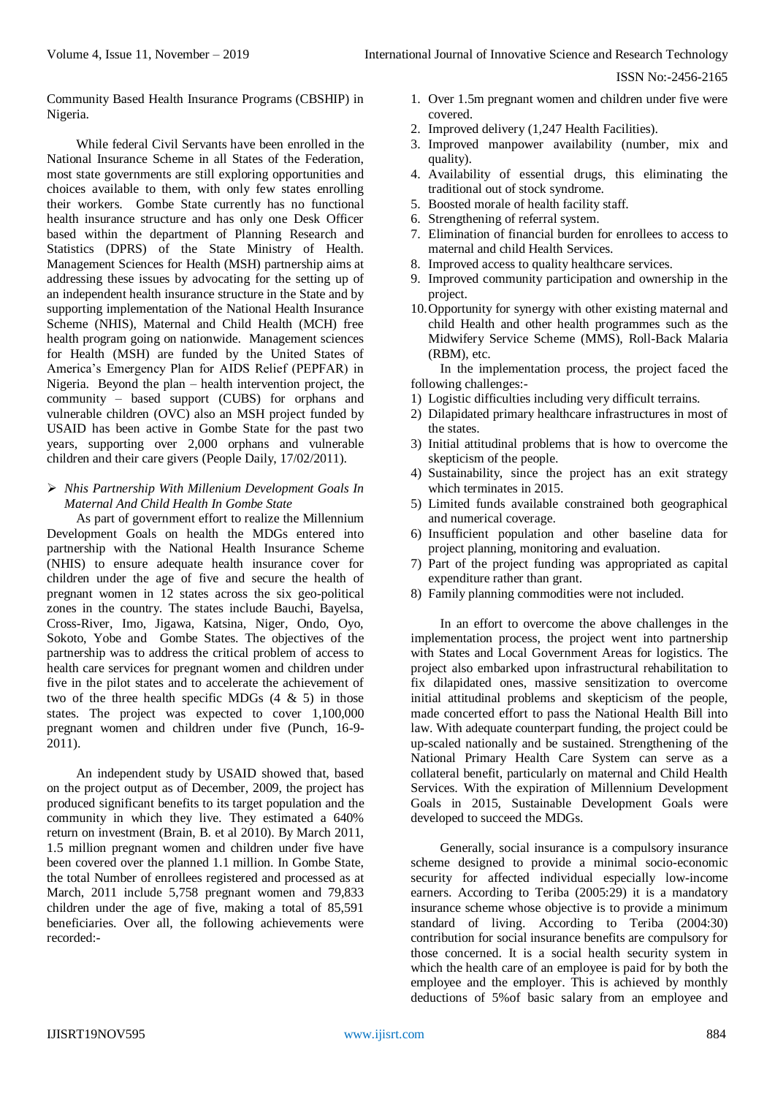Community Based Health Insurance Programs (CBSHIP) in Nigeria.

While federal Civil Servants have been enrolled in the National Insurance Scheme in all States of the Federation, most state governments are still exploring opportunities and choices available to them, with only few states enrolling their workers. Gombe State currently has no functional health insurance structure and has only one Desk Officer based within the department of Planning Research and Statistics (DPRS) of the State Ministry of Health. Management Sciences for Health (MSH) partnership aims at addressing these issues by advocating for the setting up of an independent health insurance structure in the State and by supporting implementation of the National Health Insurance Scheme (NHIS), Maternal and Child Health (MCH) free health program going on nationwide. Management sciences for Health (MSH) are funded by the United States of America's Emergency Plan for AIDS Relief (PEPFAR) in Nigeria. Beyond the plan – health intervention project, the community – based support (CUBS) for orphans and vulnerable children (OVC) also an MSH project funded by USAID has been active in Gombe State for the past two years, supporting over 2,000 orphans and vulnerable children and their care givers (People Daily, 17/02/2011).

 *Nhis Partnership With Millenium Development Goals In Maternal And Child Health In Gombe State*

As part of government effort to realize the Millennium Development Goals on health the MDGs entered into partnership with the National Health Insurance Scheme (NHIS) to ensure adequate health insurance cover for children under the age of five and secure the health of pregnant women in 12 states across the six geo-political zones in the country. The states include Bauchi, Bayelsa, Cross-River, Imo, Jigawa, Katsina, Niger, Ondo, Oyo, Sokoto, Yobe and Gombe States. The objectives of the partnership was to address the critical problem of access to health care services for pregnant women and children under five in the pilot states and to accelerate the achievement of two of the three health specific MDGs  $(4 \& 5)$  in those states. The project was expected to cover 1,100,000 pregnant women and children under five (Punch, 16-9- 2011).

An independent study by USAID showed that, based on the project output as of December, 2009, the project has produced significant benefits to its target population and the community in which they live. They estimated a 640% return on investment (Brain, B. et al 2010). By March 2011, 1.5 million pregnant women and children under five have been covered over the planned 1.1 million. In Gombe State, the total Number of enrollees registered and processed as at March, 2011 include 5,758 pregnant women and 79,833 children under the age of five, making a total of 85,591 beneficiaries. Over all, the following achievements were recorded:-

- 1. Over 1.5m pregnant women and children under five were covered.
- 2. Improved delivery (1,247 Health Facilities).
- 3. Improved manpower availability (number, mix and quality).
- 4. Availability of essential drugs, this eliminating the traditional out of stock syndrome.
- 5. Boosted morale of health facility staff.
- 6. Strengthening of referral system.
- 7. Elimination of financial burden for enrollees to access to maternal and child Health Services.
- 8. Improved access to quality healthcare services.
- 9. Improved community participation and ownership in the project.
- 10.Opportunity for synergy with other existing maternal and child Health and other health programmes such as the Midwifery Service Scheme (MMS), Roll-Back Malaria (RBM), etc.

In the implementation process, the project faced the following challenges:-

- 1) Logistic difficulties including very difficult terrains.
- 2) Dilapidated primary healthcare infrastructures in most of the states.
- 3) Initial attitudinal problems that is how to overcome the skepticism of the people.
- 4) Sustainability, since the project has an exit strategy which terminates in 2015.
- 5) Limited funds available constrained both geographical and numerical coverage.
- 6) Insufficient population and other baseline data for project planning, monitoring and evaluation.
- 7) Part of the project funding was appropriated as capital expenditure rather than grant.
- 8) Family planning commodities were not included.

In an effort to overcome the above challenges in the implementation process, the project went into partnership with States and Local Government Areas for logistics. The project also embarked upon infrastructural rehabilitation to fix dilapidated ones, massive sensitization to overcome initial attitudinal problems and skepticism of the people, made concerted effort to pass the National Health Bill into law. With adequate counterpart funding, the project could be up-scaled nationally and be sustained. Strengthening of the National Primary Health Care System can serve as a collateral benefit, particularly on maternal and Child Health Services. With the expiration of Millennium Development Goals in 2015, Sustainable Development Goals were developed to succeed the MDGs.

Generally, social insurance is a compulsory insurance scheme designed to provide a minimal socio-economic security for affected individual especially low-income earners. According to Teriba (2005:29) it is a mandatory insurance scheme whose objective is to provide a minimum standard of living. According to Teriba (2004:30) contribution for social insurance benefits are compulsory for those concerned. It is a social health security system in which the health care of an employee is paid for by both the employee and the employer. This is achieved by monthly deductions of 5%of basic salary from an employee and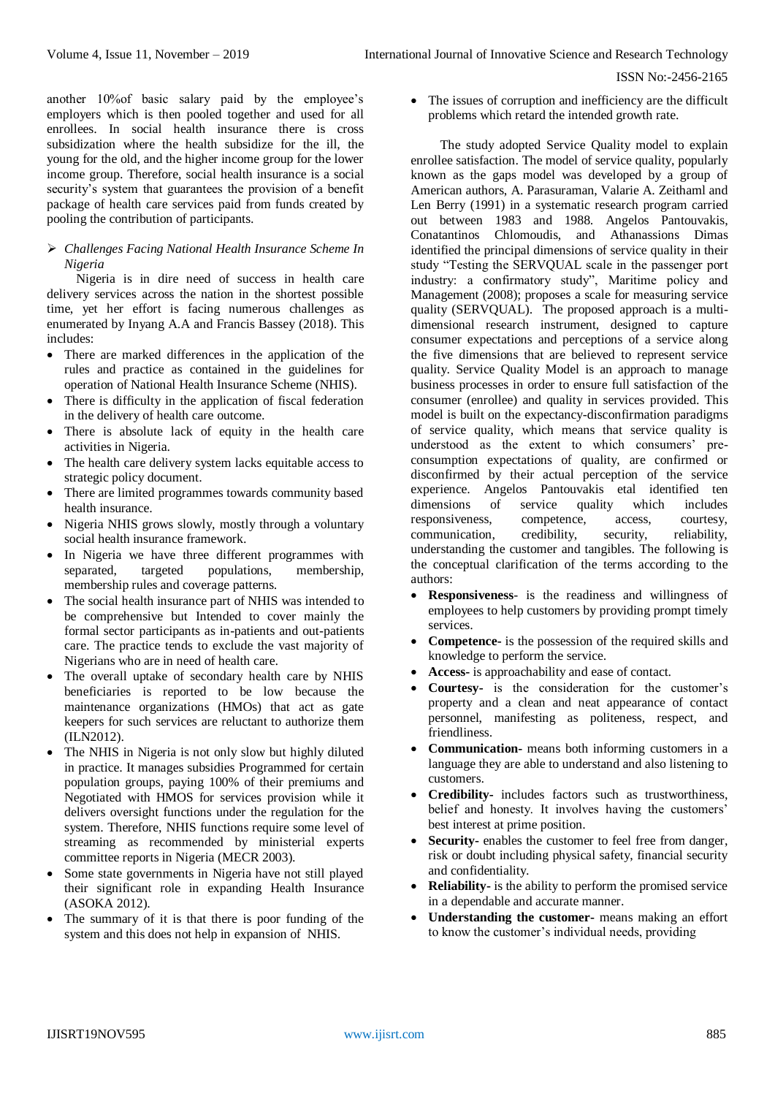another 10%of basic salary paid by the employee's employers which is then pooled together and used for all enrollees. In social health insurance there is cross subsidization where the health subsidize for the ill, the young for the old, and the higher income group for the lower income group. Therefore, social health insurance is a social security's system that guarantees the provision of a benefit package of health care services paid from funds created by pooling the contribution of participants.

# *Challenges Facing National Health Insurance Scheme In Nigeria*

Nigeria is in dire need of success in health care delivery services across the nation in the shortest possible time, yet her effort is facing numerous challenges as enumerated by Inyang A.A and Francis Bassey (2018). This includes:

- There are marked differences in the application of the rules and practice as contained in the guidelines for operation of National Health Insurance Scheme (NHIS).
- There is difficulty in the application of fiscal federation in the delivery of health care outcome.
- There is absolute lack of equity in the health care activities in Nigeria.
- The health care delivery system lacks equitable access to strategic policy document.
- There are limited programmes towards community based health insurance.
- Nigeria NHIS grows slowly, mostly through a voluntary social health insurance framework.
- In Nigeria we have three different programmes with separated, targeted populations, membership, membership rules and coverage patterns.
- The social health insurance part of NHIS was intended to be comprehensive but Intended to cover mainly the formal sector participants as in-patients and out-patients care. The practice tends to exclude the vast majority of Nigerians who are in need of health care.
- The overall uptake of secondary health care by NHIS beneficiaries is reported to be low because the maintenance organizations (HMOs) that act as gate keepers for such services are reluctant to authorize them (ILN2012).
- The NHIS in Nigeria is not only slow but highly diluted in practice. It manages subsidies Programmed for certain population groups, paying 100% of their premiums and Negotiated with HMOS for services provision while it delivers oversight functions under the regulation for the system. Therefore, NHIS functions require some level of streaming as recommended by ministerial experts committee reports in Nigeria (MECR 2003).
- Some state governments in Nigeria have not still played their significant role in expanding Health Insurance (ASOKA 2012).
- The summary of it is that there is poor funding of the system and this does not help in expansion of NHIS.

 The issues of corruption and inefficiency are the difficult problems which retard the intended growth rate.

The study adopted Service Quality model to explain enrollee satisfaction. The model of service quality, popularly known as the gaps model was developed by a group of American authors, A. Parasuraman, Valarie A. Zeithaml and Len Berry (1991) in a systematic research program carried out between 1983 and 1988. Angelos Pantouvakis, Conatantinos Chlomoudis, and Athanassions Dimas identified the principal dimensions of service quality in their study "Testing the SERVQUAL scale in the passenger port industry: a confirmatory study", Maritime policy and Management (2008); proposes a scale for measuring service quality (SERVQUAL). The proposed approach is a multidimensional research instrument, designed to capture consumer expectations and perceptions of a service along the five dimensions that are believed to represent service quality. Service Quality Model is an approach to manage business processes in order to ensure full satisfaction of the consumer (enrollee) and quality in services provided. This model is built on the expectancy-disconfirmation paradigms of service quality, which means that service quality is understood as the extent to which consumers' preconsumption expectations of quality, are confirmed or disconfirmed by their actual perception of the service experience. Angelos Pantouvakis etal identified ten dimensions of service quality which includes responsiveness, competence, access, courtesy,<br>communication, credibility, security, reliability, communication, credibility, security, reliability, understanding the customer and tangibles. The following is the conceptual clarification of the terms according to the authors:

- **Responsiveness** is the readiness and willingness of employees to help customers by providing prompt timely services.
- **Competence-** is the possession of the required skills and knowledge to perform the service.
- **Access-** is approachability and ease of contact.
- **Courtesy-** is the consideration for the customer's property and a clean and neat appearance of contact personnel, manifesting as politeness, respect, and friendliness.
- **Communication-** means both informing customers in a language they are able to understand and also listening to customers.
- **Credibility-** includes factors such as trustworthiness, belief and honesty. It involves having the customers' best interest at prime position.
- **Security-** enables the customer to feel free from danger, risk or doubt including physical safety, financial security and confidentiality.
- **Reliability-** is the ability to perform the promised service in a dependable and accurate manner.
- **Understanding the customer-** means making an effort to know the customer's individual needs, providing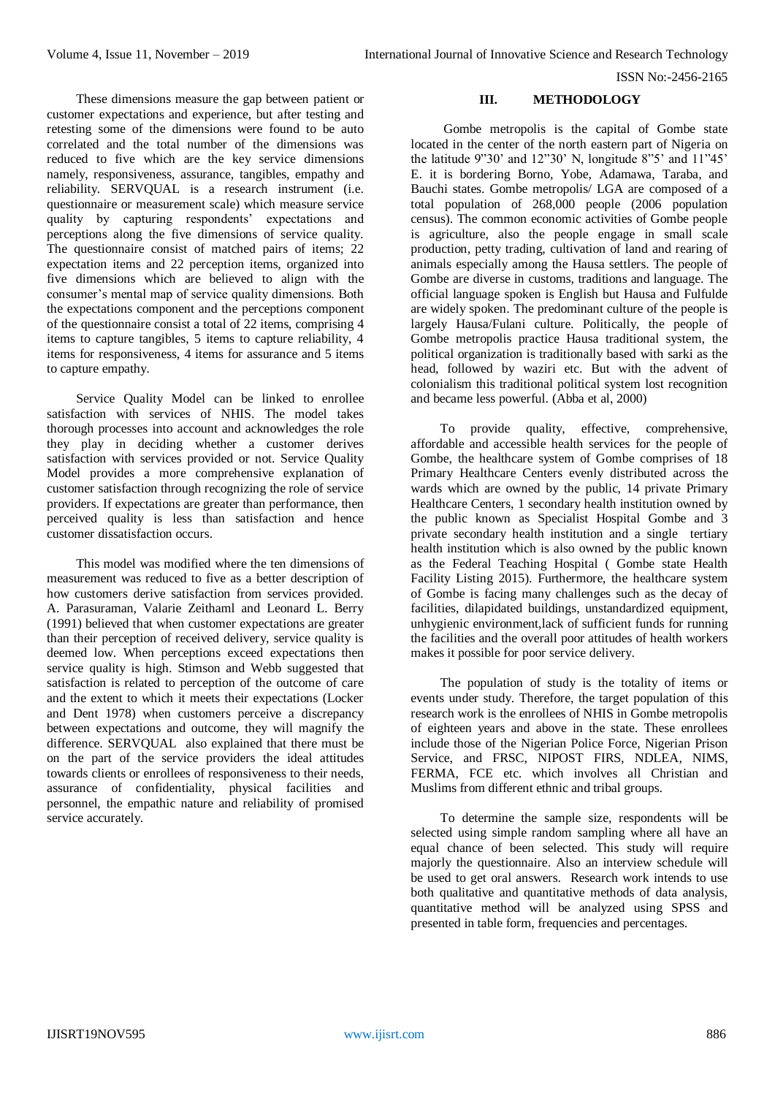These dimensions measure the gap between patient or customer expectations and experience, but after testing and retesting some of the dimensions were found to be auto correlated and the total number of the dimensions was reduced to five which are the key service dimensions namely, responsiveness, assurance, tangibles, empathy and reliability. SERVQUAL is a research instrument (i.e. questionnaire or measurement scale) which measure service quality by capturing respondents' expectations and perceptions along the five dimensions of service quality. The questionnaire consist of matched pairs of items; 22 expectation items and 22 perception items, organized into five dimensions which are believed to align with the consumer's mental map of service quality dimensions. Both the expectations component and the perceptions component of the questionnaire consist a total of 22 items, comprising 4 items to capture tangibles, 5 items to capture reliability, 4 items for responsiveness, 4 items for assurance and 5 items to capture empathy.

Service Quality Model can be linked to enrollee satisfaction with services of NHIS. The model takes thorough processes into account and acknowledges the role they play in deciding whether a customer derives satisfaction with services provided or not. Service Quality Model provides a more comprehensive explanation of customer satisfaction through recognizing the role of service providers. If expectations are greater than performance, then perceived quality is less than satisfaction and hence customer dissatisfaction occurs.

This model was modified where the ten dimensions of measurement was reduced to five as a better description of how customers derive satisfaction from services provided. A. Parasuraman, Valarie Zeithaml and Leonard L. Berry (1991) believed that when customer expectations are greater than their perception of received delivery, service quality is deemed low. When perceptions exceed expectations then service quality is high. Stimson and Webb suggested that satisfaction is related to perception of the outcome of care and the extent to which it meets their expectations (Locker and Dent 1978) when customers perceive a discrepancy between expectations and outcome, they will magnify the difference. SERVQUAL also explained that there must be on the part of the service providers the ideal attitudes towards clients or enrollees of responsiveness to their needs, assurance of confidentiality, physical facilities and personnel, the empathic nature and reliability of promised service accurately.

#### **III. METHODOLOGY**

Gombe metropolis is the capital of Gombe state located in the center of the north eastern part of Nigeria on the latitude 9"30' and 12"30' N, longitude 8"5' and 11"45' E. it is bordering Borno, Yobe, Adamawa, Taraba, and Bauchi states. Gombe metropolis/ LGA are composed of a total population of 268,000 people (2006 population census). The common economic activities of Gombe people is agriculture, also the people engage in small scale production, petty trading, cultivation of land and rearing of animals especially among the Hausa settlers. The people of Gombe are diverse in customs, traditions and language. The official language spoken is English but Hausa and Fulfulde are widely spoken. The predominant culture of the people is largely Hausa/Fulani culture. Politically, the people of Gombe metropolis practice Hausa traditional system, the political organization is traditionally based with sarki as the head, followed by waziri etc. But with the advent of colonialism this traditional political system lost recognition and became less powerful. (Abba et al, 2000)

To provide quality, effective, comprehensive, affordable and accessible health services for the people of Gombe, the healthcare system of Gombe comprises of 18 Primary Healthcare Centers evenly distributed across the wards which are owned by the public, 14 private Primary Healthcare Centers, 1 secondary health institution owned by the public known as Specialist Hospital Gombe and 3 private secondary health institution and a single tertiary health institution which is also owned by the public known as the Federal Teaching Hospital ( Gombe state Health Facility Listing 2015). Furthermore, the healthcare system of Gombe is facing many challenges such as the decay of facilities, dilapidated buildings, unstandardized equipment, unhygienic environment,lack of sufficient funds for running the facilities and the overall poor attitudes of health workers makes it possible for poor service delivery.

The population of study is the totality of items or events under study. Therefore, the target population of this research work is the enrollees of NHIS in Gombe metropolis of eighteen years and above in the state. These enrollees include those of the Nigerian Police Force, Nigerian Prison Service, and FRSC, NIPOST FIRS, NDLEA, NIMS, FERMA, FCE etc. which involves all Christian and Muslims from different ethnic and tribal groups.

To determine the sample size, respondents will be selected using simple random sampling where all have an equal chance of been selected. This study will require majorly the questionnaire. Also an interview schedule will be used to get oral answers. Research work intends to use both qualitative and quantitative methods of data analysis, quantitative method will be analyzed using SPSS and presented in table form, frequencies and percentages.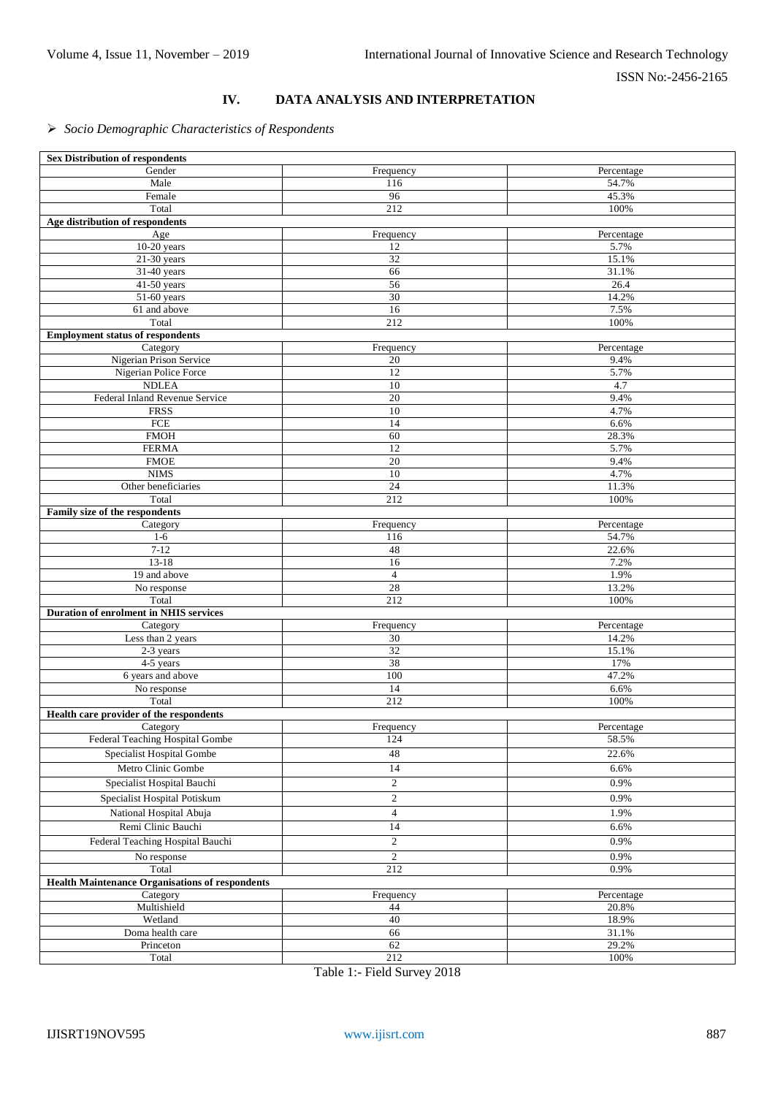# **IV. DATA ANALYSIS AND INTERPRETATION**

# *Socio Demographic Characteristics of Respondents*

| <b>Sex Distribution of respondents</b>                 |                  |             |
|--------------------------------------------------------|------------------|-------------|
| Gender                                                 | Frequency        | Percentage  |
| Male                                                   | 116              | 54.7%       |
| Female                                                 | 96               | 45.3%       |
| Total                                                  | 212              | 100%        |
| Age distribution of respondents                        |                  |             |
| Age                                                    | Frequency        | Percentage  |
| $10-20$ years                                          | 12               | 5.7%        |
| $21-30$ years                                          | 32               | 15.1%       |
| 31-40 years                                            | 66               | 31.1%       |
| 41-50 years                                            | 56               | 26.4        |
| 51-60 years                                            | 30               | 14.2%       |
| 61 and above                                           | 16               | 7.5%        |
| Total                                                  | $\overline{212}$ | 100%        |
| <b>Employment status of respondents</b>                |                  |             |
| Category                                               | Frequency        | Percentage  |
| Nigerian Prison Service                                | 20               | 9.4%        |
| Nigerian Police Force<br><b>NDLEA</b>                  | 12<br>10         | 5.7%<br>4.7 |
|                                                        | $\overline{20}$  | 9.4%        |
| Federal Inland Revenue Service<br><b>FRSS</b>          | $10\,$           | 4.7%        |
| FCE                                                    | 14               | 6.6%        |
| <b>FMOH</b>                                            | 60               | 28.3%       |
| <b>FERMA</b>                                           | $\overline{12}$  | 5.7%        |
| <b>FMOE</b>                                            | 20               | 9.4%        |
| <b>NIMS</b>                                            | 10               | 4.7%        |
| Other beneficiaries                                    | 24               | 11.3%       |
| Total                                                  | 212              | 100%        |
| Family size of the respondents                         |                  |             |
| Category                                               | Frequency        | Percentage  |
| $1-6$                                                  | 116              | 54.7%       |
| $7 - 12$                                               | 48               | 22.6%       |
| $13-18$                                                | 16               | 7.2%        |
| 19 and above                                           | $\overline{4}$   | 1.9%        |
| No response                                            | 28               | 13.2%       |
| Total                                                  | 212              | 100%        |
| Duration of enrolment in NHIS services                 |                  |             |
| Category                                               | Frequency        | Percentage  |
| Less than 2 years                                      | 30               | 14.2%       |
| 2-3 years                                              | 32               | 15.1%       |
| 4-5 years                                              | 38               | 17%         |
| 6 years and above                                      | 100              | 47.2%       |
| No response                                            | 14               | 6.6%        |
| Total                                                  | 212              | 100%        |
| Health care provider of the respondents                |                  |             |
| Category                                               | Frequency        | Percentage  |
| Federal Teaching Hospital Gombe                        | 124              | 58.5%       |
| Specialist Hospital Gombe                              | 48               | 22.6%       |
| Metro Clinic Gombe                                     | 14               | 6.6%        |
| Specialist Hospital Bauchi                             | $\overline{c}$   | 0.9%        |
| Specialist Hospital Potiskum                           | $\overline{c}$   | 0.9%        |
| National Hospital Abuja                                | $\overline{4}$   | 1.9%        |
| Remi Clinic Bauchi                                     |                  |             |
|                                                        | 14               | 6.6%        |
| Federal Teaching Hospital Bauchi                       | $\mathbf{2}$     | 0.9%        |
| No response                                            | $\overline{2}$   | 0.9%        |
| Total                                                  | 212              | 0.9%        |
| <b>Health Maintenance Organisations of respondents</b> |                  |             |
| Category                                               | Frequency        | Percentage  |
| Multishield                                            | 44               | 20.8%       |
| Wetland                                                | 40               | 18.9%       |
| Doma health care                                       | 66               | 31.1%       |
| Princeton                                              | 62               | 29.2%       |
| Total                                                  | 212              | 100%        |

Table 1:- Field Survey 2018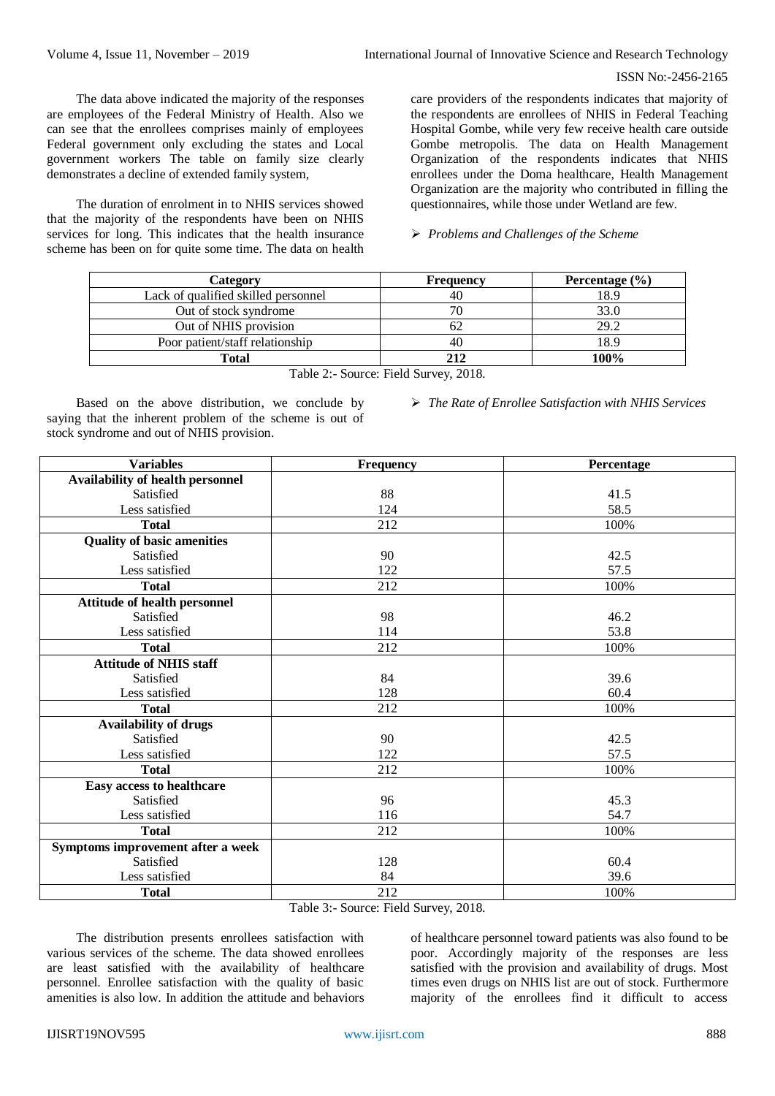The data above indicated the majority of the responses are employees of the Federal Ministry of Health. Also we can see that the enrollees comprises mainly of employees Federal government only excluding the states and Local government workers The table on family size clearly demonstrates a decline of extended family system,

The duration of enrolment in to NHIS services showed that the majority of the respondents have been on NHIS services for long. This indicates that the health insurance scheme has been on for quite some time. The data on health care providers of the respondents indicates that majority of the respondents are enrollees of NHIS in Federal Teaching Hospital Gombe, while very few receive health care outside Gombe metropolis. The data on Health Management Organization of the respondents indicates that NHIS enrollees under the Doma healthcare, Health Management Organization are the majority who contributed in filling the questionnaires, while those under Wetland are few.

*Problems and Challenges of the Scheme*

| Category                            | Frequency | Percentage $(\% )$ |  |
|-------------------------------------|-----------|--------------------|--|
| Lack of qualified skilled personnel | 40        | 18.9               |  |
| Out of stock syndrome               |           | 33.0               |  |
| Out of NHIS provision               |           | 29.2               |  |
| Poor patient/staff relationship     | 40        | 18.9               |  |
| Total                               | 212       | 100%               |  |

Table 2:- Source: Field Survey, 2018.

Based on the above distribution, we conclude by saying that the inherent problem of the scheme is out of stock syndrome and out of NHIS provision.

*The Rate of Enrollee Satisfaction with NHIS Services*

| <b>Variables</b>                        | <b>Frequency</b>                   | Percentage |
|-----------------------------------------|------------------------------------|------------|
| <b>Availability of health personnel</b> |                                    |            |
| Satisfied                               | 88                                 | 41.5       |
| Less satisfied                          | 124                                | 58.5       |
| <b>Total</b>                            | 212                                | 100%       |
| <b>Quality of basic amenities</b>       |                                    |            |
| Satisfied                               | 90                                 | 42.5       |
| Less satisfied                          | 122                                | 57.5       |
| <b>Total</b>                            | 212                                | 100%       |
| <b>Attitude of health personnel</b>     |                                    |            |
| Satisfied                               | 98                                 | 46.2       |
| Less satisfied                          | 114                                | 53.8       |
| <b>Total</b>                            | 212                                | 100%       |
| <b>Attitude of NHIS staff</b>           |                                    |            |
| Satisfied                               | 84                                 | 39.6       |
| Less satisfied                          | 128                                | 60.4       |
| <b>Total</b>                            | 212                                | 100%       |
| <b>Availability of drugs</b>            |                                    |            |
| Satisfied                               | 90                                 | 42.5       |
| Less satisfied                          | 122                                | 57.5       |
| <b>Total</b>                            | 212                                | 100%       |
| Easy access to healthcare               |                                    |            |
| Satisfied                               | 96                                 | 45.3       |
| Less satisfied                          | 116                                | 54.7       |
| <b>Total</b>                            | 212                                | 100%       |
| Symptoms improvement after a week       |                                    |            |
| Satisfied                               | 128                                | 60.4       |
| Less satisfied                          | 84                                 | 39.6       |
| <b>Total</b>                            | 212                                | 100%       |
|                                         | Table 2: Source: Eight Survey 2018 |            |

Table 3:- Source: Field Survey, 2018.

The distribution presents enrollees satisfaction with various services of the scheme. The data showed enrollees are least satisfied with the availability of healthcare personnel. Enrollee satisfaction with the quality of basic amenities is also low. In addition the attitude and behaviors of healthcare personnel toward patients was also found to be poor. Accordingly majority of the responses are less satisfied with the provision and availability of drugs. Most times even drugs on NHIS list are out of stock. Furthermore majority of the enrollees find it difficult to access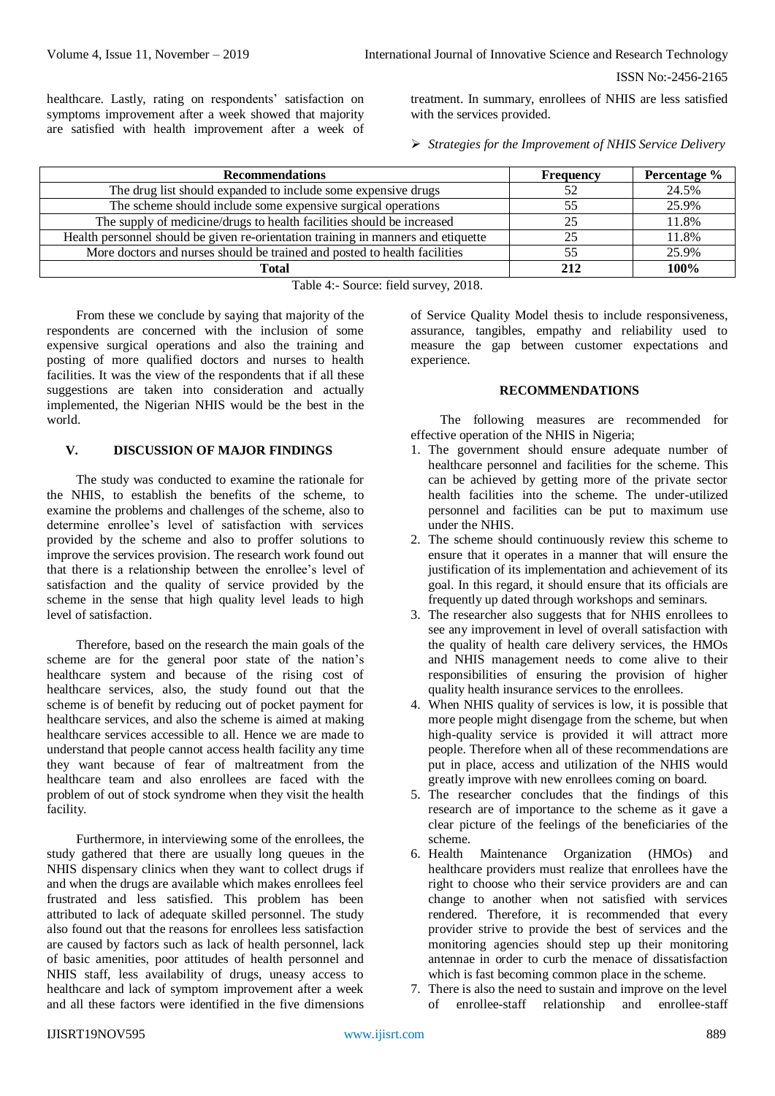healthcare. Lastly, rating on respondents' satisfaction on symptoms improvement after a week showed that majority are satisfied with health improvement after a week of treatment. In summary, enrollees of NHIS are less satisfied with the services provided.

*Strategies for the Improvement of NHIS Service Delivery*

| <b>Recommendations</b>                                                            | <b>Frequency</b> | Percentage % |  |  |
|-----------------------------------------------------------------------------------|------------------|--------------|--|--|
| The drug list should expanded to include some expensive drugs                     | 52               | 24.5%        |  |  |
| The scheme should include some expensive surgical operations                      | 55               | 25.9%        |  |  |
| The supply of medicine/drugs to health facilities should be increased             | 25               | 11.8%        |  |  |
| Health personnel should be given re-orientation training in manners and etiquette |                  | 11.8%        |  |  |
| More doctors and nurses should be trained and posted to health facilities         |                  | 25.9%        |  |  |
| <b>Total</b>                                                                      | 212              | 100%         |  |  |
| ____<br>.                                                                         |                  |              |  |  |

Table 4:- Source: field survey, 2018.

From these we conclude by saying that majority of the respondents are concerned with the inclusion of some expensive surgical operations and also the training and posting of more qualified doctors and nurses to health facilities. It was the view of the respondents that if all these suggestions are taken into consideration and actually implemented, the Nigerian NHIS would be the best in the world.

# **V. DISCUSSION OF MAJOR FINDINGS**

The study was conducted to examine the rationale for the NHIS, to establish the benefits of the scheme, to examine the problems and challenges of the scheme, also to determine enrollee's level of satisfaction with services provided by the scheme and also to proffer solutions to improve the services provision. The research work found out that there is a relationship between the enrollee's level of satisfaction and the quality of service provided by the scheme in the sense that high quality level leads to high level of satisfaction.

Therefore, based on the research the main goals of the scheme are for the general poor state of the nation's healthcare system and because of the rising cost of healthcare services, also, the study found out that the scheme is of benefit by reducing out of pocket payment for healthcare services, and also the scheme is aimed at making healthcare services accessible to all. Hence we are made to understand that people cannot access health facility any time they want because of fear of maltreatment from the healthcare team and also enrollees are faced with the problem of out of stock syndrome when they visit the health facility.

Furthermore, in interviewing some of the enrollees, the study gathered that there are usually long queues in the NHIS dispensary clinics when they want to collect drugs if and when the drugs are available which makes enrollees feel frustrated and less satisfied. This problem has been attributed to lack of adequate skilled personnel. The study also found out that the reasons for enrollees less satisfaction are caused by factors such as lack of health personnel, lack of basic amenities, poor attitudes of health personnel and NHIS staff, less availability of drugs, uneasy access to healthcare and lack of symptom improvement after a week and all these factors were identified in the five dimensions of Service Quality Model thesis to include responsiveness, assurance, tangibles, empathy and reliability used to measure the gap between customer expectations and experience.

# **RECOMMENDATIONS**

The following measures are recommended for effective operation of the NHIS in Nigeria;

- 1. The government should ensure adequate number of healthcare personnel and facilities for the scheme. This can be achieved by getting more of the private sector health facilities into the scheme. The under-utilized personnel and facilities can be put to maximum use under the NHIS.
- 2. The scheme should continuously review this scheme to ensure that it operates in a manner that will ensure the justification of its implementation and achievement of its goal. In this regard, it should ensure that its officials are frequently up dated through workshops and seminars.
- 3. The researcher also suggests that for NHIS enrollees to see any improvement in level of overall satisfaction with the quality of health care delivery services, the HMOs and NHIS management needs to come alive to their responsibilities of ensuring the provision of higher quality health insurance services to the enrollees.
- 4. When NHIS quality of services is low, it is possible that more people might disengage from the scheme, but when high-quality service is provided it will attract more people. Therefore when all of these recommendations are put in place, access and utilization of the NHIS would greatly improve with new enrollees coming on board.
- 5. The researcher concludes that the findings of this research are of importance to the scheme as it gave a clear picture of the feelings of the beneficiaries of the scheme.
- 6. Health Maintenance Organization (HMOs) and healthcare providers must realize that enrollees have the right to choose who their service providers are and can change to another when not satisfied with services rendered. Therefore, it is recommended that every provider strive to provide the best of services and the monitoring agencies should step up their monitoring antennae in order to curb the menace of dissatisfaction which is fast becoming common place in the scheme.
- 7. There is also the need to sustain and improve on the level of enrollee-staff relationship and enrollee-staff